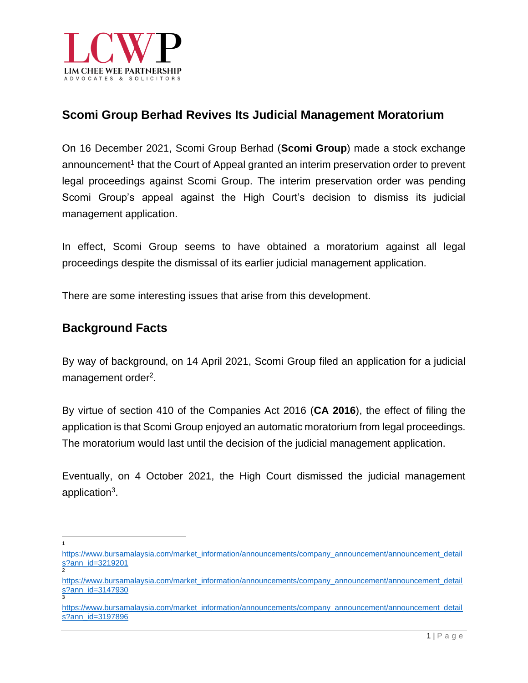

# **Scomi Group Berhad Revives Its Judicial Management Moratorium**

On 16 December 2021, Scomi Group Berhad (**Scomi Group**) made a stock exchange announcement<sup>1</sup> that the Court of Appeal granted an interim preservation order to prevent legal proceedings against Scomi Group. The interim preservation order was pending Scomi Group's appeal against the High Court's decision to dismiss its judicial management application.

In effect, Scomi Group seems to have obtained a moratorium against all legal proceedings despite the dismissal of its earlier judicial management application.

There are some interesting issues that arise from this development.

## **Background Facts**

By way of background, on 14 April 2021, Scomi Group filed an application for a judicial management order<sup>2</sup>.

By virtue of section 410 of the Companies Act 2016 (**CA 2016**), the effect of filing the application is that Scomi Group enjoyed an automatic moratorium from legal proceedings. The moratorium would last until the decision of the judicial management application.

Eventually, on 4 October 2021, the High Court dismissed the judicial management application<sup>3</sup>.

1

[https://www.bursamalaysia.com/market\\_information/announcements/company\\_announcement/announcement\\_detail](https://www.bursamalaysia.com/market_information/announcements/company_announcement/announcement_details?ann_id=3219201) [s?ann\\_id=3219201](https://www.bursamalaysia.com/market_information/announcements/company_announcement/announcement_details?ann_id=3219201) 2

[https://www.bursamalaysia.com/market\\_information/announcements/company\\_announcement/announcement\\_detail](https://www.bursamalaysia.com/market_information/announcements/company_announcement/announcement_details?ann_id=3147930) <mark>[s?ann\\_id=3147930](https://www.bursamalaysia.com/market_information/announcements/company_announcement/announcement_details?ann_id=3147930)</mark><br><sup>3</sup>

[https://www.bursamalaysia.com/market\\_information/announcements/company\\_announcement/announcement\\_detail](https://www.bursamalaysia.com/market_information/announcements/company_announcement/announcement_details?ann_id=3197896) [s?ann\\_id=3197896](https://www.bursamalaysia.com/market_information/announcements/company_announcement/announcement_details?ann_id=3197896)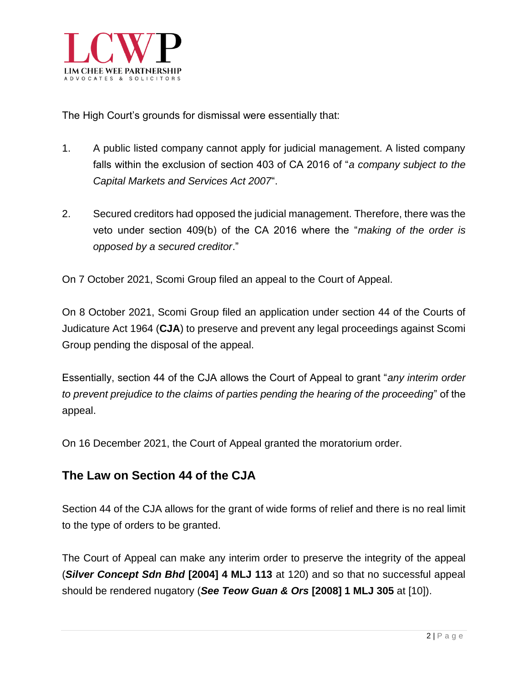

The High Court's grounds for dismissal were essentially that:

- 1. A public listed company cannot apply for judicial management. A listed company falls within the exclusion of section 403 of CA 2016 of "*a company subject to the Capital Markets and Services Act 2007*".
- 2. Secured creditors had opposed the judicial management. Therefore, there was the veto under section 409(b) of the CA 2016 where the "*making of the order is opposed by a secured creditor*."

On 7 October 2021, Scomi Group filed an appeal to the Court of Appeal.

On 8 October 2021, Scomi Group filed an application under section 44 of the Courts of Judicature Act 1964 (**CJA**) to preserve and prevent any legal proceedings against Scomi Group pending the disposal of the appeal.

Essentially, section 44 of the CJA allows the Court of Appeal to grant "*any interim order to prevent prejudice to the claims of parties pending the hearing of the proceeding*" of the appeal.

On 16 December 2021, the Court of Appeal granted the moratorium order.

#### **The Law on Section 44 of the CJA**

Section 44 of the CJA allows for the grant of wide forms of relief and there is no real limit to the type of orders to be granted.

The Court of Appeal can make any interim order to preserve the integrity of the appeal (*Silver Concept Sdn Bhd* **[2004] 4 MLJ 113** at 120) and so that no successful appeal should be rendered nugatory (*See Teow Guan & Ors* **[2008] 1 MLJ 305** at [10]).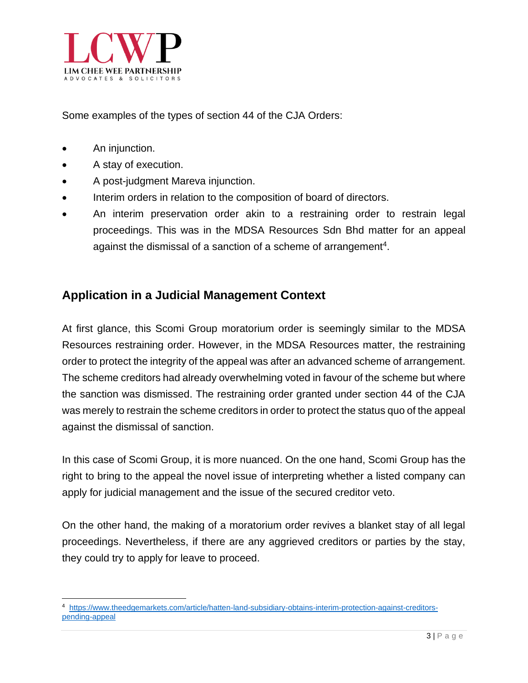

Some examples of the types of section 44 of the CJA Orders:

- An injunction.
- A stay of execution.
- A post-judgment Mareva injunction.
- Interim orders in relation to the composition of board of directors.
- An interim preservation order akin to a restraining order to restrain legal proceedings. This was in the MDSA Resources Sdn Bhd matter for an appeal against the dismissal of a sanction of a scheme of arrangement<sup>4</sup>.

### **Application in a Judicial Management Context**

At first glance, this Scomi Group moratorium order is seemingly similar to the MDSA Resources restraining order. However, in the MDSA Resources matter, the restraining order to protect the integrity of the appeal was after an advanced scheme of arrangement. The scheme creditors had already overwhelming voted in favour of the scheme but where the sanction was dismissed. The restraining order granted under section 44 of the CJA was merely to restrain the scheme creditors in order to protect the status quo of the appeal against the dismissal of sanction.

In this case of Scomi Group, it is more nuanced. On the one hand, Scomi Group has the right to bring to the appeal the novel issue of interpreting whether a listed company can apply for judicial management and the issue of the secured creditor veto.

On the other hand, the making of a moratorium order revives a blanket stay of all legal proceedings. Nevertheless, if there are any aggrieved creditors or parties by the stay, they could try to apply for leave to proceed.

<sup>4</sup> [https://www.theedgemarkets.com/article/hatten-land-subsidiary-obtains-interim-protection-against-creditors](https://www.theedgemarkets.com/article/hatten-land-subsidiary-obtains-interim-protection-against-creditors-pending-appeal)[pending-appeal](https://www.theedgemarkets.com/article/hatten-land-subsidiary-obtains-interim-protection-against-creditors-pending-appeal)